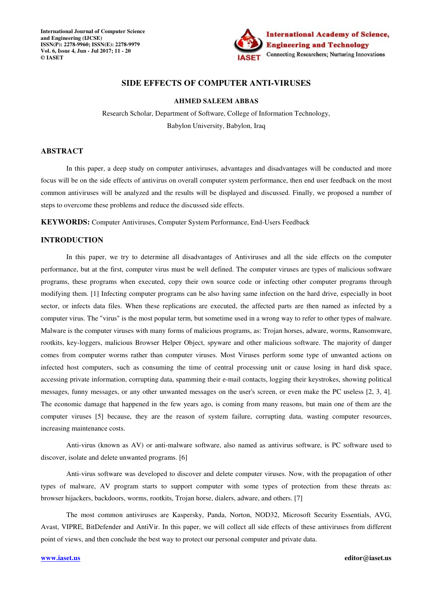**International Journal of Computer Science and Engineering (IJCSE) ISSN(P): 2278-9960; ISSN(E): 2278-9979 Vol. 6, Issue 4, Jun - Jul 2017; 11 - 20 © IASET** 



# **SIDE EFFECTS OF COMPUTER ANTI-VIRUSES**

### **AHMED SALEEM ABBAS**

Research Scholar, Department of Software, College of Information Technology, Babylon University, Babylon, Iraq

## **ABSTRACT**

In this paper, a deep study on computer antiviruses, advantages and disadvantages will be conducted and more focus will be on the side effects of antivirus on overall computer system performance, then end user feedback on the most common antiviruses will be analyzed and the results will be displayed and discussed. Finally, we proposed a number of steps to overcome these problems and reduce the discussed side effects.

**KEYWORDS:** Computer Antiviruses, Computer System Performance, End-Users Feedback

## **INTRODUCTION**

In this paper, we try to determine all disadvantages of Antiviruses and all the side effects on the computer performance, but at the first, computer virus must be well defined. The computer viruses are types of malicious software programs, these programs when executed, copy their own source code or infecting other computer programs through modifying them. [1] Infecting computer programs can be also having same infection on the hard drive, especially in boot sector, or infects data files. When these replications are executed, the affected parts are then named as infected by a computer virus. The "virus" is the most popular term, but sometime used in a wrong way to refer to other types of malware. Malware is the computer viruses with many forms of malicious programs, as: Trojan horses, adware, worms, Ransomware, rootkits, key-loggers, malicious Browser Helper Object, spyware and other malicious software. The majority of danger comes from computer worms rather than computer viruses. Most Viruses perform some type of unwanted actions on infected host computers, such as consuming the time of central processing unit or cause losing in hard disk space, accessing private information, corrupting data, spamming their e-mail contacts, logging their keystrokes, showing political messages, funny messages, or any other unwanted messages on the user's screen, or even make the PC useless [2, 3, 4]. The economic damage that happened in the few years ago, is coming from many reasons, but main one of them are the computer viruses [5] because, they are the reason of system failure, corrupting data, wasting computer resources, increasing maintenance costs.

Anti-virus (known as AV) or anti-malware software, also named as antivirus software, is PC software used to discover, isolate and delete unwanted programs. [6]

Anti-virus software was developed to discover and delete computer viruses. Now, with the propagation of other types of malware, AV program starts to support computer with some types of protection from these threats as: browser hijackers, backdoors, worms, rootkits, Trojan horse, dialers, adware, and others. [7]

The most common antiviruses are Kaspersky, Panda, Norton, NOD32, Microsoft Security Essentials, AVG, Avast, VIPRE, BitDefender and AntiVir. In this paper, we will collect all side effects of these antiviruses from different point of views, and then conclude the best way to protect our personal computer and private data.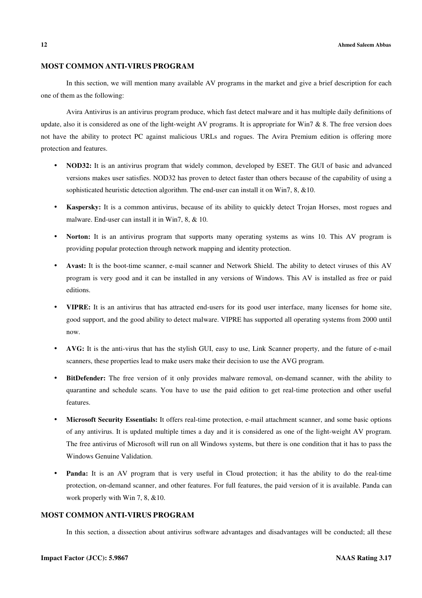#### **12 Ahmed Saleem Abbas**

## **MOST COMMON ANTI-VIRUS PROGRAM**

In this section, we will mention many available AV programs in the market and give a brief description for each one of them as the following:

Avira Antivirus is an antivirus program produce, which fast detect malware and it has multiple daily definitions of update, also it is considered as one of the light-weight AV programs. It is appropriate for Win7  $\&$  8. The free version does not have the ability to protect PC against malicious URLs and rogues. The Avira Premium edition is offering more protection and features.

- **NOD32:** It is an antivirus program that widely common, developed by ESET. The GUI of basic and advanced versions makes user satisfies. NOD32 has proven to detect faster than others because of the capability of using a sophisticated heuristic detection algorithm. The end-user can install it on Win7, 8, &10.
- **Kaspersky:** It is a common antivirus, because of its ability to quickly detect Trojan Horses, most rogues and malware. End-user can install it in Win7, 8, & 10.
- **Norton:** It is an antivirus program that supports many operating systems as wins 10. This AV program is providing popular protection through network mapping and identity protection.
- **Avast:** It is the boot-time scanner, e-mail scanner and Network Shield. The ability to detect viruses of this AV program is very good and it can be installed in any versions of Windows. This AV is installed as free or paid editions.
- **VIPRE:** It is an antivirus that has attracted end-users for its good user interface, many licenses for home site, good support, and the good ability to detect malware. VIPRE has supported all operating systems from 2000 until now.
- **AVG:** It is the anti-virus that has the stylish GUI, easy to use, Link Scanner property, and the future of e-mail scanners, these properties lead to make users make their decision to use the AVG program.
- **BitDefender:** The free version of it only provides malware removal, on-demand scanner, with the ability to quarantine and schedule scans. You have to use the paid edition to get real-time protection and other useful features.
- **Microsoft Security Essentials:** It offers real-time protection, e-mail attachment scanner, and some basic options of any antivirus. It is updated multiple times a day and it is considered as one of the light-weight AV program. The free antivirus of Microsoft will run on all Windows systems, but there is one condition that it has to pass the Windows Genuine Validation.
- **Panda:** It is an AV program that is very useful in Cloud protection; it has the ability to do the real-time protection, on-demand scanner, and other features. For full features, the paid version of it is available. Panda can work properly with Win 7, 8, &10.

### **MOST COMMON ANTI-VIRUS PROGRAM**

In this section, a dissection about antivirus software advantages and disadvantages will be conducted; all these

#### **Impact Factor (JCC): 5.9867 NAAS Rating 3.17**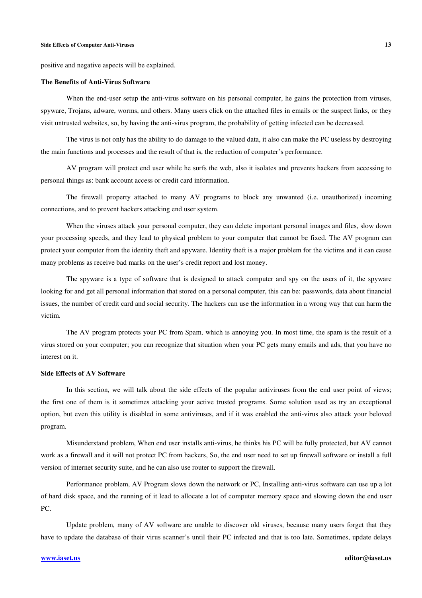#### **Side Effects of Computer Anti-Viruses 13**

positive and negative aspects will be explained.

#### **The Benefits of Anti-Virus Software**

When the end-user setup the anti-virus software on his personal computer, he gains the protection from viruses, spyware, Trojans, adware, worms, and others. Many users click on the attached files in emails or the suspect links, or they visit untrusted websites, so, by having the anti-virus program, the probability of getting infected can be decreased.

The virus is not only has the ability to do damage to the valued data, it also can make the PC useless by destroying the main functions and processes and the result of that is, the reduction of computer's performance.

AV program will protect end user while he surfs the web, also it isolates and prevents hackers from accessing to personal things as: bank account access or credit card information.

The firewall property attached to many AV programs to block any unwanted (i.e. unauthorized) incoming connections, and to prevent hackers attacking end user system.

When the viruses attack your personal computer, they can delete important personal images and files, slow down your processing speeds, and they lead to physical problem to your computer that cannot be fixed. The AV program can protect your computer from the identity theft and spyware. Identity theft is a major problem for the victims and it can cause many problems as receive bad marks on the user's credit report and lost money.

The spyware is a type of software that is designed to attack computer and spy on the users of it, the spyware looking for and get all personal information that stored on a personal computer, this can be: passwords, data about financial issues, the number of credit card and social security. The hackers can use the information in a wrong way that can harm the victim.

The AV program protects your PC from Spam, which is annoying you. In most time, the spam is the result of a virus stored on your computer; you can recognize that situation when your PC gets many emails and ads, that you have no interest on it.

### **Side Effects of AV Software**

In this section, we will talk about the side effects of the popular antiviruses from the end user point of views; the first one of them is it sometimes attacking your active trusted programs. Some solution used as try an exceptional option, but even this utility is disabled in some antiviruses, and if it was enabled the anti-virus also attack your beloved program.

Misunderstand problem, When end user installs anti-virus, he thinks his PC will be fully protected, but AV cannot work as a firewall and it will not protect PC from hackers, So, the end user need to set up firewall software or install a full version of internet security suite, and he can also use router to support the firewall.

Performance problem, AV Program slows down the network or PC, Installing anti-virus software can use up a lot of hard disk space, and the running of it lead to allocate a lot of computer memory space and slowing down the end user PC.

Update problem, many of AV software are unable to discover old viruses, because many users forget that they have to update the database of their virus scanner's until their PC infected and that is too late. Sometimes, update delays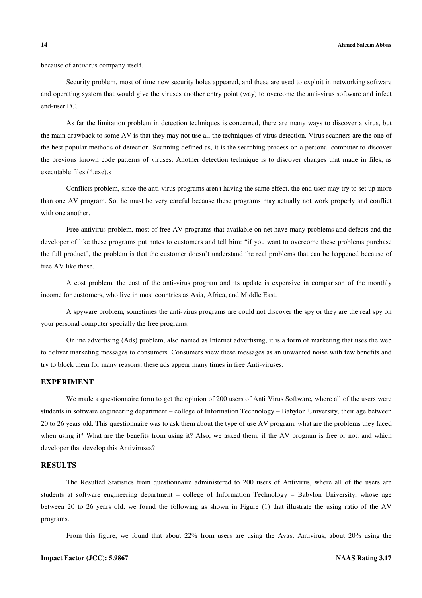because of antivirus company itself.

Security problem, most of time new security holes appeared, and these are used to exploit in networking software and operating system that would give the viruses another entry point (way) to overcome the anti-virus software and infect end-user PC.

As far the limitation problem in detection techniques is concerned, there are many ways to discover a virus, but the main drawback to some AV is that they may not use all the techniques of virus detection. Virus scanners are the one of the best popular methods of detection. Scanning defined as, it is the searching process on a personal computer to discover the previous known code patterns of viruses. Another detection technique is to discover changes that made in files, as executable files (\*.exe).s

Conflicts problem, since the anti-virus programs aren't having the same effect, the end user may try to set up more than one AV program. So, he must be very careful because these programs may actually not work properly and conflict with one another.

Free antivirus problem, most of free AV programs that available on net have many problems and defects and the developer of like these programs put notes to customers and tell him: "if you want to overcome these problems purchase the full product", the problem is that the customer doesn't understand the real problems that can be happened because of free AV like these.

A cost problem, the cost of the anti-virus program and its update is expensive in comparison of the monthly income for customers, who live in most countries as Asia, Africa, and Middle East.

A spyware problem, sometimes the anti-virus programs are could not discover the spy or they are the real spy on your personal computer specially the free programs.

Online advertising (Ads) problem, also named as Internet advertising, it is a form of marketing that uses the web to deliver marketing messages to consumers. Consumers view these messages as an unwanted noise with few benefits and try to block them for many reasons; these ads appear many times in free Anti-viruses.

# **EXPERIMENT**

We made a questionnaire form to get the opinion of 200 users of Anti Virus Software, where all of the users were students in software engineering department – college of Information Technology – Babylon University, their age between 20 to 26 years old. This questionnaire was to ask them about the type of use AV program, what are the problems they faced when using it? What are the benefits from using it? Also, we asked them, if the AV program is free or not, and which developer that develop this Antiviruses?

## **RESULTS**

The Resulted Statistics from questionnaire administered to 200 users of Antivirus, where all of the users are students at software engineering department – college of Information Technology – Babylon University, whose age between 20 to 26 years old, we found the following as shown in Figure (1) that illustrate the using ratio of the AV programs.

From this figure, we found that about 22% from users are using the Avast Antivirus, about 20% using the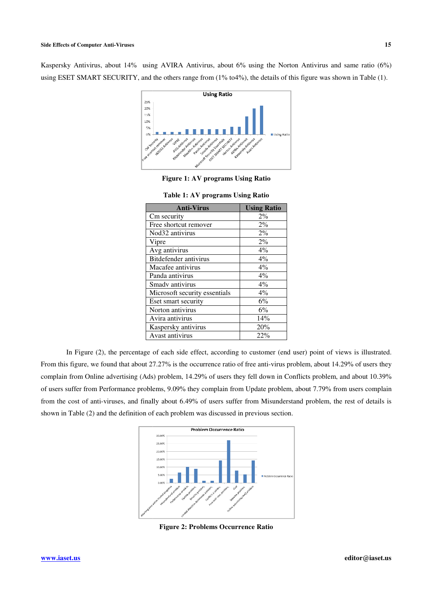Kaspersky Antivirus, about 14% using AVIRA Antivirus, about 6% using the Norton Antivirus and same ratio (6%) using ESET SMART SECURITY, and the others range from (1% to4%), the details of this figure was shown in Table (1).



**Figure 1: AV programs Using Ratio** 

| <b>Anti-Virus</b>             | <b>Using Ratio</b> |
|-------------------------------|--------------------|
| Cm security                   | $2\%$              |
| Free shortcut remover         | $2\%$              |
| Nod32 antivirus               | 2%                 |
| Vipre                         | $2\%$              |
| Avg antivirus                 | $4\%$              |
| <b>Bitdefender antivirus</b>  | $4\%$              |
| Macafee antivirus             | $4\%$              |
| Panda antivirus               | $4\%$              |
| Smadv antivirus               | $4\%$              |
| Microsoft security essentials | $4\%$              |
| Eset smart security           | 6%                 |
| Norton antivirus              | 6%                 |
| Avira antivirus               | 14%                |
| Kaspersky antivirus           | 20%                |
| Avast antivirus               | 22%                |

|  |  | Table 1: AV programs Using Ratio |
|--|--|----------------------------------|
|--|--|----------------------------------|

In Figure (2), the percentage of each side effect, according to customer (end user) point of views is illustrated. From this figure, we found that about 27.27% is the occurrence ratio of free anti-virus problem, about 14.29% of users they complain from Online advertising (Ads) problem, 14.29% of users they fell down in Conflicts problem, and about 10.39% of users suffer from Performance problems, 9.09% they complain from Update problem, about 7.79% from users complain from the cost of anti-viruses, and finally about 6.49% of users suffer from Misunderstand problem, the rest of details is shown in Table (2) and the definition of each problem was discussed in previous section. ativities, about 12%, which contained the Norton Antivirus and same ratio (6%)<br>
MART STACHERY could be absent many from (1%) and 3% the signal contact the Norton Antivirus and same ratio (6%)<br>
<br> **ANT STACHERY could be abs** 



**Figure 2: Problems Occurrence Ratio**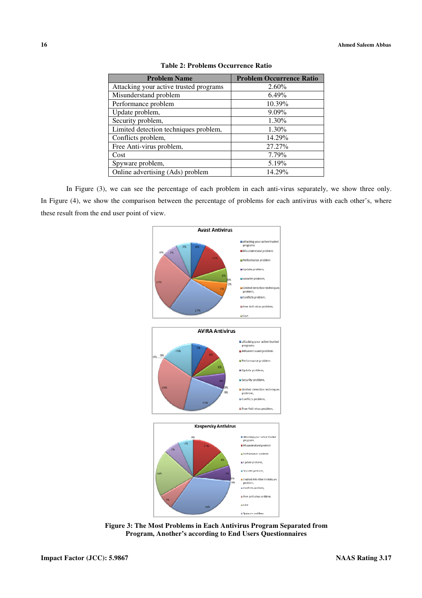| <b>Problem Name</b>                    | <b>Problem Occurrence Ratio</b> |
|----------------------------------------|---------------------------------|
| Attacking your active trusted programs | $2.60\%$                        |
| Misunderstand problem                  | 6.49%                           |
| Performance problem                    | 10.39%                          |
| Update problem,                        | $9.09\%$                        |
| Security problem,                      | 1.30%                           |
| Limited detection techniques problem,  | 1.30%                           |
| Conflicts problem,                     | 14.29%                          |
| Free Anti-virus problem,               | 27.27%                          |
| Cost                                   | 7.79%                           |
| Spyware problem,                       | 5.19%                           |
| Online advertising (Ads) problem       | 14.29%                          |

| Table 2: Problems Occurrence Ratio |  |
|------------------------------------|--|
|------------------------------------|--|

In Figure (3), we can see the percentage of each problem in each anti-virus separately, we show three only. In Figure (4), we show the comparison between the percentage of problems for each antivirus with each other's, where these result from the end user point of view.



**Figure 3: The Most Problems in Each Antivirus Program Separated from Program, Another's according to End Users Questionnaires**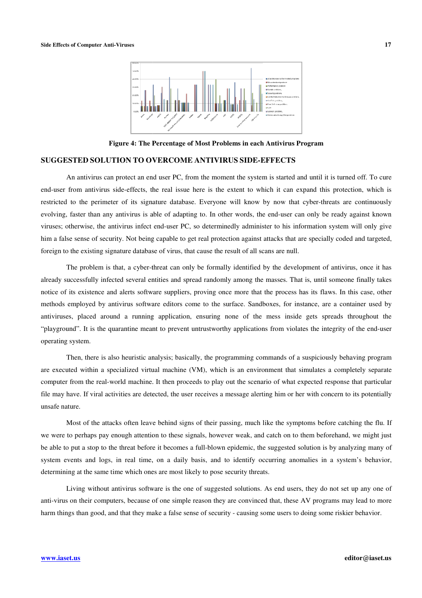

**Figure 4: The Percentage of Most Problems in each** 

### **SUGGESTED SOLUTION TO OVERCOME ANTIVIRUS SIDE-EFFECTS**

An antivirus can protect an end user PC PC, from the moment the system is started and until it is turned off. To cure end-user from antivirus side-effects, the real issue here is the extent to which it can expand this protection, which is end-user from antivirus side-effects, the real issue here is the extent to which it can expand this protection, which is<br>restricted to the perimeter of its signature database. Everyone will know by now that cyber-threats a evolving, faster than any antivirus is able of adapting to. In other words, the end-user can only be ready against known viruses; otherwise, the antivirus infect end-user PC, so determinedly administer to his information system will only give him a false sense of security. Not being capable to get real protection against attacks that are spe him a false sense of security. Not being capable to get real protection against attacks that are foreign to the existing signature database of virus, that cause the result of all scans are null. **Example 4:** The **Percentage of Most Problems in each Antivirus Program**<br> **CDSOLUTION TO OVERCOME ANTIVIRUS SIDE-EFFECTS**<br> **ODSOLUTION TO OVERCOME ANTIVIRUS SIDE-EFFECTS**<br> **ODERCOME ANTIVIRUS SIDE-EFFECTS**<br> **ODERCOME ANTIV** 

The problem is that, a cyber-threat can only be formally identified by the development of antivirus, once it has already successfully infected several entities and spread randomly among the masses. That is, until someone finally takes notice of its existence and alerts software suppliers, proving once more that the process has its flaws. In this case, other methods employed by antivirus software editors come to the surface. Sandboxes, for instance, are a container used by antiviruses, placed around a running application, ensuring none of the mess inside gets spreads throughout the "playground". It is the quarantine meant to prevent untrustworthy applications from violates the integrity of the end-user operating system. essfully infected several entities and spread randomly among the masses. That is, until someone existence and alerts software suppliers, proving once more that the process has its flaws. In this ployed by antivirus softwar

Then, there is also heuristic analysis; basically, the programming commands of a suspiciously behaving program are executed within a specialized virtual machine (VM), which is an environment that simulates a completely separate computer from the real-world machine. It then proceeds to play out the scenario of what expected response that particular file may have. If viral activities are detected, the user receives a message alerting him or her with concern to its potentially unsafe nature.

Most of the attacks often leave behind signs of their passing, much like the symptoms before catching the flu. If we were to perhaps pay enough attention to these signals, however weak, and catch on to them beforehand, we might just be able to put a stop to the threat before it becomes a full-blown epidemic, the suggested solution is by analyzing many of system events and logs, in real time, on a daily basis, and to identify occurring anomalies in a system's behavior, determining at the same time which ones are most likely to pose security threats.

Living without antivirus software is the one of suggested solutions. As end users, they do not set up any one of anti-virus on their computers, because of one simple reason they are convinced that, these AV programs may lead to more harm things than good, and that they make a false sense of security - causing some users to doing some riskier behavior.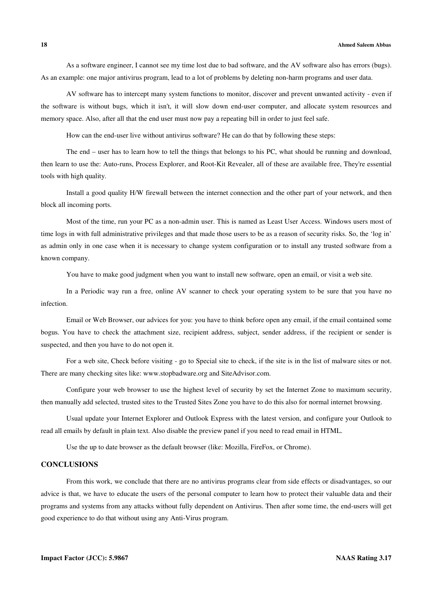As a software engineer, I cannot see my time lost due to bad software, and the AV software also has errors (bugs). As an example: one major antivirus program, lead to a lot of problems by deleting non-harm programs and user data.

AV software has to intercept many system functions to monitor, discover and prevent unwanted activity - even if the software is without bugs, which it isn't, it will slow down end-user computer, and allocate system resources and memory space. Also, after all that the end user must now pay a repeating bill in order to just feel safe.

How can the end-user live without antivirus software? He can do that by following these steps:

The end – user has to learn how to tell the things that belongs to his PC, what should be running and download, then learn to use the: Auto-runs, Process Explorer, and Root-Kit Revealer, all of these are available free, They're essential tools with high quality.

Install a good quality H/W firewall between the internet connection and the other part of your network, and then block all incoming ports.

Most of the time, run your PC as a non-admin user. This is named as Least User Access. Windows users most of time logs in with full administrative privileges and that made those users to be as a reason of security risks. So, the 'log in' as admin only in one case when it is necessary to change system configuration or to install any trusted software from a known company.

You have to make good judgment when you want to install new software, open an email, or visit a web site.

In a Periodic way run a free, online AV scanner to check your operating system to be sure that you have no infection.

Email or Web Browser, our advices for you: you have to think before open any email, if the email contained some bogus. You have to check the attachment size, recipient address, subject, sender address, if the recipient or sender is suspected, and then you have to do not open it.

For a web site, Check before visiting - go to Special site to check, if the site is in the list of malware sites or not. There are many checking sites like: www.stopbadware.org and SiteAdvisor.com.

Configure your web browser to use the highest level of security by set the Internet Zone to maximum security, then manually add selected, trusted sites to the Trusted Sites Zone you have to do this also for normal internet browsing.

Usual update your Internet Explorer and Outlook Express with the latest version, and configure your Outlook to read all emails by default in plain text. Also disable the preview panel if you need to read email in HTML.

Use the up to date browser as the default browser (like: Mozilla, FireFox, or Chrome).

# **CONCLUSIONS**

From this work, we conclude that there are no antivirus programs clear from side effects or disadvantages, so our advice is that, we have to educate the users of the personal computer to learn how to protect their valuable data and their programs and systems from any attacks without fully dependent on Antivirus. Then after some time, the end-users will get good experience to do that without using any Anti-Virus program.